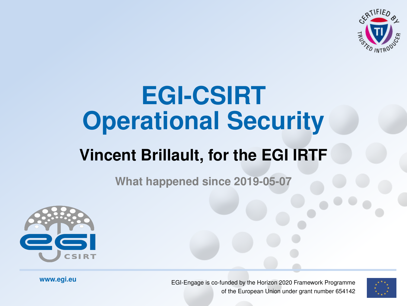

### <span id="page-0-0"></span>**EGI-CSIRT Operational Security**

#### **Vincent Brillault, for the EGI IRTF**

**What happened since 2019-05-07**



**www.egi.eu EGI-Engage is co-funded by the Horizon 2020 Framework Programme** of the European Union under grant number 654142

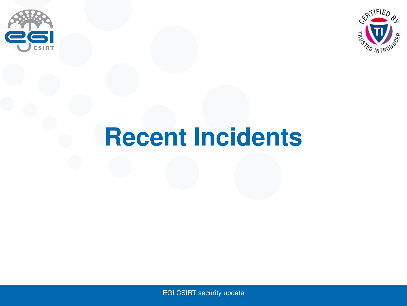<span id="page-1-0"></span>



### **[Recent Incidents](#page-1-0)**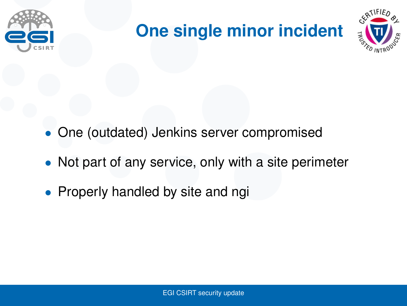

### **One single minor incident**



- One (outdated) Jenkins server compromised
- Not part of any service, only with a site perimeter
- Properly handled by site and ngi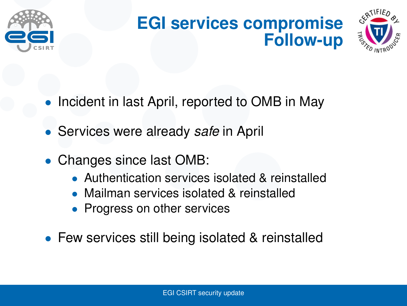

#### **EGI services compromise Follow-up**



- Incident in last April, reported to OMB in May
- Services were already *safe* in April
- Changes since last OMB:
	- Authentication services isolated & reinstalled
	- Mailman services isolated & reinstalled
	- Progress on other services
- Few services still being isolated & reinstalled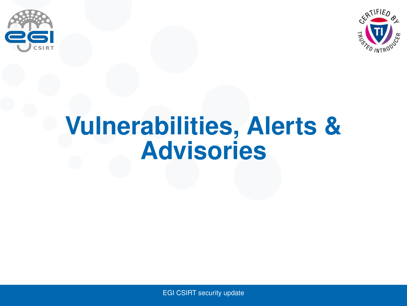<span id="page-4-0"></span>



## **[Vulnerabilities, Alerts &](#page-4-0) [Advisories](#page-4-0)**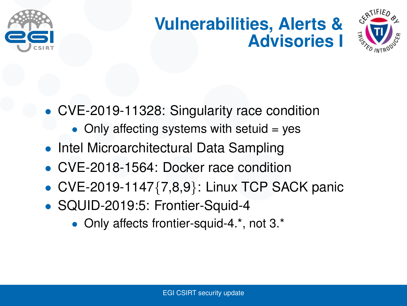

#### **Vulnerabilities, Alerts & Advisories I**



- CVE-2019-11328: Singularity race condition
	- $\bullet$  Only affecting systems with setuid = yes
- Intel Microarchitectural Data Sampling
- CVE-2018-1564: Docker race condition
- CVE-2019-1147 $\{7,8,9\}$ : Linux TCP SACK panic
- SQUID-2019:5: Frontier-Squid-4
	- Only affects frontier-squid-4.\*, not 3.\*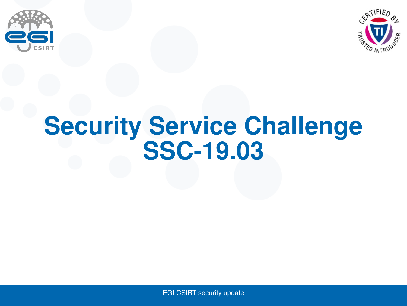<span id="page-6-0"></span>



## **[Security Service Challenge](#page-6-0) [SSC-19.03](#page-6-0)**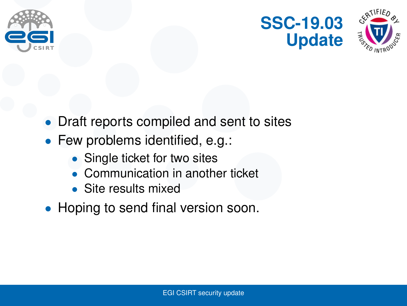





- Draft reports compiled and sent to sites
- Few problems identified, e.g.:
	- Single ticket for two sites
	- Communication in another ticket
	- Site results mixed
- Hoping to send final version soon.